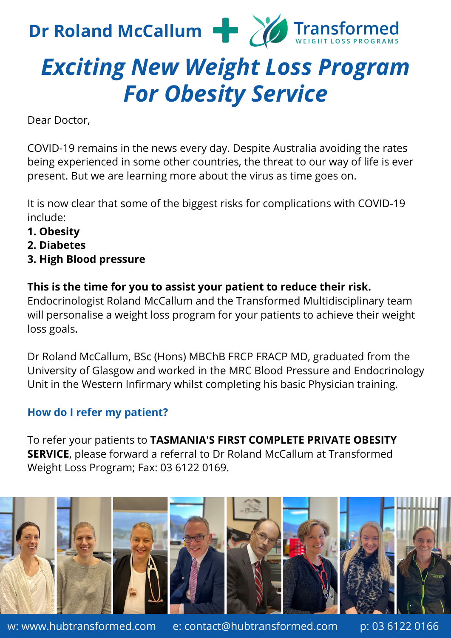

## *Exciting New Weight Loss Program For Obesity Service*

Dear Doctor,

COVID-19 remains in the news every day. Despite Australia avoiding the rates being experienced in some other countries, the threat to our way of life is ever present. But we are learning more about the virus as time goes on.

It is now clear that some of the biggest risks for complications with COVID-19 include:

- **1. Obesity**
- **2. Diabetes**
- **3. High Blood pressure**

**This is the time for you to assist your patient to reduce their risk.** Endocrinologist Roland McCallum and the Transformed Multidisciplinary team will personalise a weight loss program for your patients to achieve their weight loss goals.

Dr Roland McCallum, BSc (Hons) MBChB FRCP FRACP MD, graduated from the University of Glasgow and worked in the MRC Blood Pressure and Endocrinology Unit in the Western Infirmary whilst completing his basic Physician training.

## **How do I refer my patient?**

To refer your patients to **TASMANIA'S FIRST COMPLETE PRIVATE OBESITY SERVICE**, please forward a referral to Dr Roland McCallum at Transformed Weight Loss Program; Fax: 03 6122 0169.



w: www.hubtransformed.com e: contact@hubtransformed.com p: 03 6122 0166